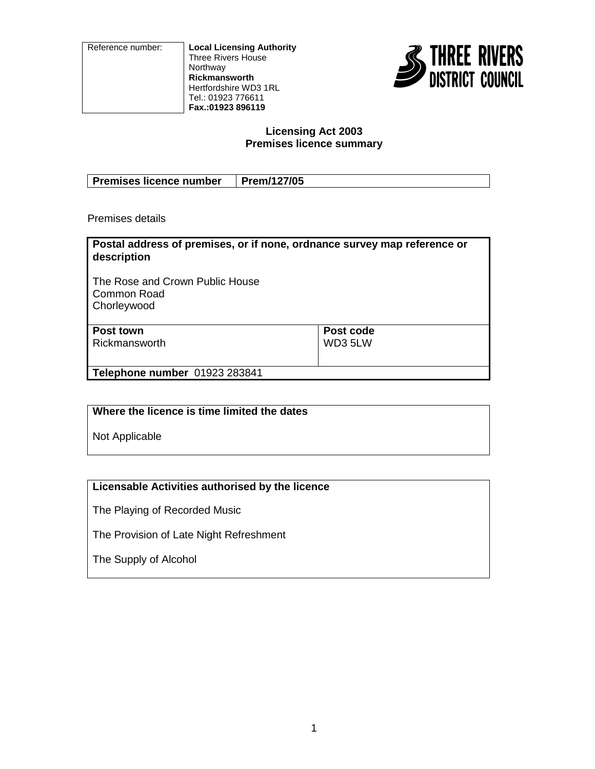Reference number: **Local Licensing Authority** Three Rivers House Northway **Rickmansworth** Hertfordshire WD3 1RL Tel.: 01923 776611 **Fax.:01923 896119**



#### **Licensing Act 2003 Premises licence summary**

| Premises licence number   Prem/127/05 |  |
|---------------------------------------|--|

Premises details

| Postal address of premises, or if none, ordnance survey map reference or<br>description |           |
|-----------------------------------------------------------------------------------------|-----------|
| The Rose and Crown Public House<br>l Common Road<br>Chorleywood                         |           |
| Post town                                                                               | Post code |
| Rickmansworth                                                                           | WD3 5LW   |
|                                                                                         |           |
| Telephone number 01923 283841                                                           |           |

**Where the licence is time limited the dates**

Not Applicable

## **Licensable Activities authorised by the licence**

The Playing of Recorded Music

The Provision of Late Night Refreshment

The Supply of Alcohol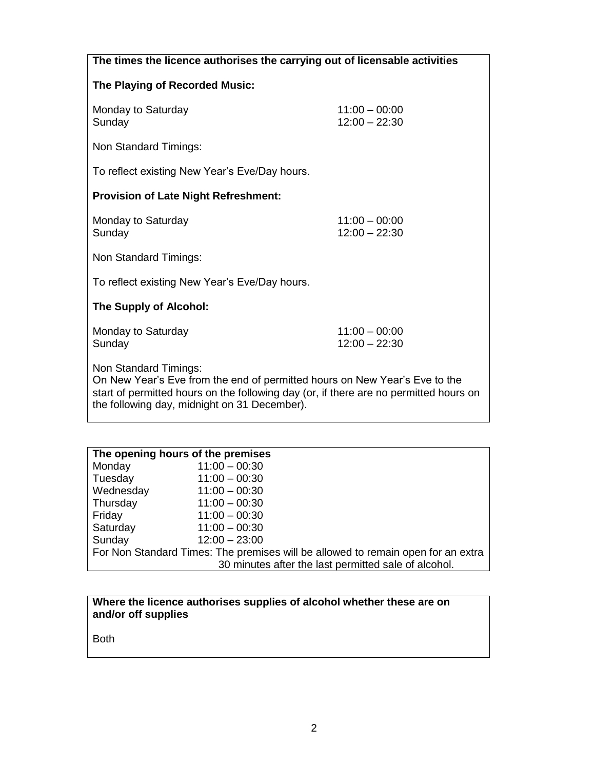| The times the licence authorises the carrying out of licensable activities                                                                                                                                                                   |                                    |  |
|----------------------------------------------------------------------------------------------------------------------------------------------------------------------------------------------------------------------------------------------|------------------------------------|--|
| The Playing of Recorded Music:                                                                                                                                                                                                               |                                    |  |
| Monday to Saturday<br>Sunday                                                                                                                                                                                                                 | $11:00 - 00:00$<br>$12:00 - 22:30$ |  |
| Non Standard Timings:                                                                                                                                                                                                                        |                                    |  |
| To reflect existing New Year's Eve/Day hours.                                                                                                                                                                                                |                                    |  |
| <b>Provision of Late Night Refreshment:</b>                                                                                                                                                                                                  |                                    |  |
| Monday to Saturday<br>Sunday                                                                                                                                                                                                                 | $11:00 - 00:00$<br>$12:00 - 22:30$ |  |
| Non Standard Timings:                                                                                                                                                                                                                        |                                    |  |
| To reflect existing New Year's Eve/Day hours.                                                                                                                                                                                                |                                    |  |
| The Supply of Alcohol:                                                                                                                                                                                                                       |                                    |  |
| Monday to Saturday<br>Sunday                                                                                                                                                                                                                 | $11:00 - 00:00$<br>$12:00 - 22:30$ |  |
| Non Standard Timings:<br>On New Year's Eve from the end of permitted hours on New Year's Eve to the<br>start of permitted hours on the following day (or, if there are no permitted hours on<br>the following day, midnight on 31 December). |                                    |  |

| The opening hours of the premises                                                |                                                      |  |
|----------------------------------------------------------------------------------|------------------------------------------------------|--|
| Monday                                                                           | $11:00 - 00:30$                                      |  |
| Tuesday                                                                          | $11:00 - 00:30$                                      |  |
| Wednesday                                                                        | $11:00 - 00:30$                                      |  |
| Thursday                                                                         | $11:00 - 00:30$                                      |  |
| Friday                                                                           | $11:00 - 00:30$                                      |  |
| Saturday                                                                         | $11:00 - 00:30$                                      |  |
| Sunday                                                                           | $12:00 - 23:00$                                      |  |
| For Non Standard Times: The premises will be allowed to remain open for an extra |                                                      |  |
|                                                                                  | 30 minutes after the last permitted sale of alcohol. |  |

| Where the licence authorises supplies of alcohol whether these are on |  |
|-----------------------------------------------------------------------|--|
| and/or off supplies                                                   |  |

Both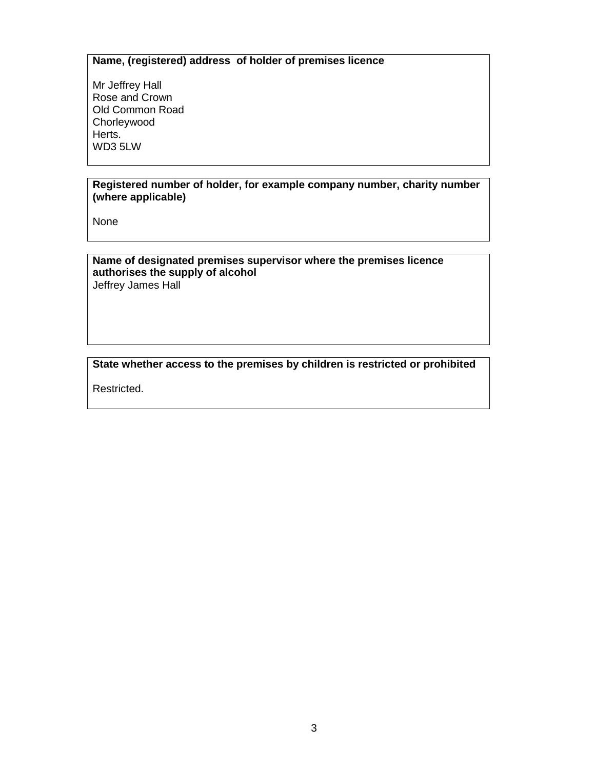## **Name, (registered) address of holder of premises licence**

Mr Jeffrey Hall Rose and Crown Old Common Road Chorleywood Herts. WD3 5LW

#### **Registered number of holder, for example company number, charity number (where applicable)**

None

#### **Name of designated premises supervisor where the premises licence authorises the supply of alcohol** Jeffrey James Hall

### **State whether access to the premises by children is restricted or prohibited**

Restricted.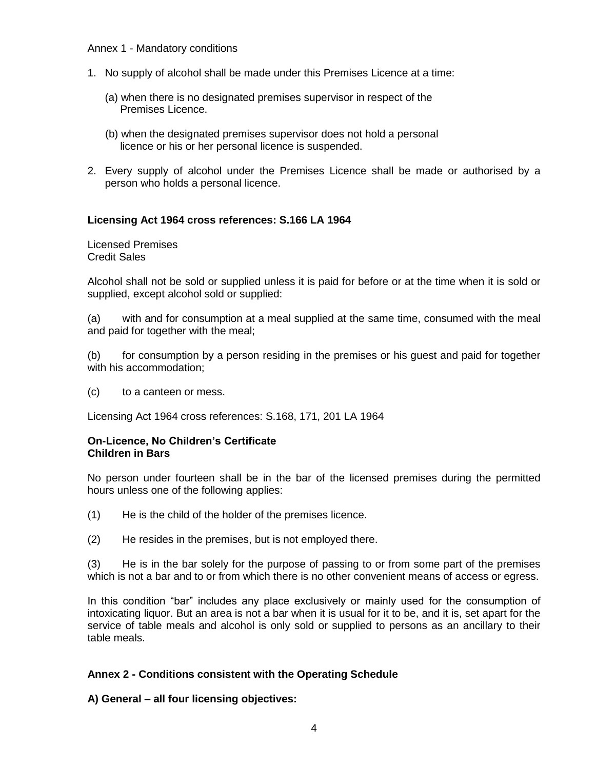#### Annex 1 - Mandatory conditions

- 1. No supply of alcohol shall be made under this Premises Licence at a time:
	- (a) when there is no designated premises supervisor in respect of the Premises Licence.
	- (b) when the designated premises supervisor does not hold a personal licence or his or her personal licence is suspended.
- 2. Every supply of alcohol under the Premises Licence shall be made or authorised by a person who holds a personal licence.

### **Licensing Act 1964 cross references: S.166 LA 1964**

Licensed Premises Credit Sales

Alcohol shall not be sold or supplied unless it is paid for before or at the time when it is sold or supplied, except alcohol sold or supplied:

(a) with and for consumption at a meal supplied at the same time, consumed with the meal and paid for together with the meal;

(b) for consumption by a person residing in the premises or his guest and paid for together with his accommodation;

(c) to a canteen or mess.

Licensing Act 1964 cross references: S.168, 171, 201 LA 1964

### **On-Licence, No Children's Certificate Children in Bars**

No person under fourteen shall be in the bar of the licensed premises during the permitted hours unless one of the following applies:

- (1) He is the child of the holder of the premises licence.
- (2) He resides in the premises, but is not employed there.

(3) He is in the bar solely for the purpose of passing to or from some part of the premises which is not a bar and to or from which there is no other convenient means of access or egress.

In this condition "bar" includes any place exclusively or mainly used for the consumption of intoxicating liquor. But an area is not a bar when it is usual for it to be, and it is, set apart for the service of table meals and alcohol is only sold or supplied to persons as an ancillary to their table meals.

### **Annex 2 - Conditions consistent with the Operating Schedule**

**A) General – all four licensing objectives:**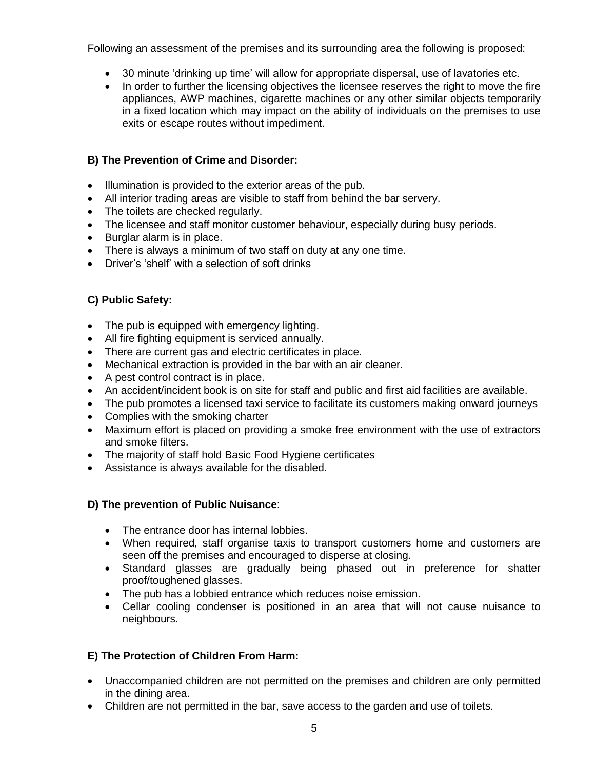Following an assessment of the premises and its surrounding area the following is proposed:

- 30 minute 'drinking up time' will allow for appropriate dispersal, use of lavatories etc.
- In order to further the licensing objectives the licensee reserves the right to move the fire appliances, AWP machines, cigarette machines or any other similar objects temporarily in a fixed location which may impact on the ability of individuals on the premises to use exits or escape routes without impediment.

### **B) The Prevention of Crime and Disorder:**

- Illumination is provided to the exterior areas of the pub.
- All interior trading areas are visible to staff from behind the bar servery.
- The toilets are checked regularly.
- The licensee and staff monitor customer behaviour, especially during busy periods.
- Burglar alarm is in place.
- There is always a minimum of two staff on duty at any one time.
- Driver's 'shelf' with a selection of soft drinks

### **C) Public Safety:**

- The pub is equipped with emergency lighting.
- All fire fighting equipment is serviced annually.
- There are current gas and electric certificates in place.
- Mechanical extraction is provided in the bar with an air cleaner.
- A pest control contract is in place.
- An accident/incident book is on site for staff and public and first aid facilities are available.
- The pub promotes a licensed taxi service to facilitate its customers making onward journeys
- Complies with the smoking charter
- Maximum effort is placed on providing a smoke free environment with the use of extractors and smoke filters.
- The majority of staff hold Basic Food Hygiene certificates
- Assistance is always available for the disabled.

### **D) The prevention of Public Nuisance**:

- The entrance door has internal lobbies.
- When required, staff organise taxis to transport customers home and customers are seen off the premises and encouraged to disperse at closing.
- Standard glasses are gradually being phased out in preference for shatter proof/toughened glasses.
- The pub has a lobbied entrance which reduces noise emission.
- Cellar cooling condenser is positioned in an area that will not cause nuisance to neighbours.

### **E) The Protection of Children From Harm:**

- Unaccompanied children are not permitted on the premises and children are only permitted in the dining area.
- Children are not permitted in the bar, save access to the garden and use of toilets.